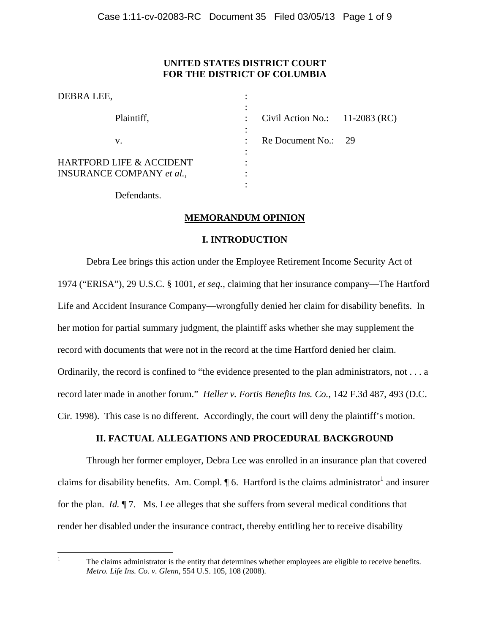# **UNITED STATES DISTRICT COURT FOR THE DISTRICT OF COLUMBIA**

| DEBRA LEE,                                                              |                |                                  |  |
|-------------------------------------------------------------------------|----------------|----------------------------------|--|
| Plaintiff,                                                              | $\ddot{\cdot}$ | Civil Action No.: $11-2083$ (RC) |  |
| v.                                                                      |                | Re Document No.: 29              |  |
| <b>HARTFORD LIFE &amp; ACCIDENT</b><br><b>INSURANCE COMPANY</b> et al., |                |                                  |  |
|                                                                         |                |                                  |  |

Defendants.

### **MEMORANDUM OPINION**

## **I. INTRODUCTION**

Debra Lee brings this action under the Employee Retirement Income Security Act of 1974 ("ERISA"), 29 U.S.C. § 1001, *et seq.*, claiming that her insurance company—The Hartford Life and Accident Insurance Company—wrongfully denied her claim for disability benefits. In her motion for partial summary judgment, the plaintiff asks whether she may supplement the record with documents that were not in the record at the time Hartford denied her claim. Ordinarily, the record is confined to "the evidence presented to the plan administrators, not . . . a record later made in another forum." *Heller v. Fortis Benefits Ins. Co.*, 142 F.3d 487, 493 (D.C. Cir. 1998). This case is no different. Accordingly, the court will deny the plaintiff's motion.

# **II. FACTUAL ALLEGATIONS AND PROCEDURAL BACKGROUND**

Through her former employer, Debra Lee was enrolled in an insurance plan that covered claims for disability benefits. Am. Compl.  $\P$  6. Hartford is the claims administrator<sup>1</sup> and insurer for the plan. *Id.* ¶ 7. Ms. Lee alleges that she suffers from several medical conditions that render her disabled under the insurance contract, thereby entitling her to receive disability

 $\frac{1}{1}$ 

The claims administrator is the entity that determines whether employees are eligible to receive benefits. *Metro. Life Ins. Co. v. Glenn*, 554 U.S. 105, 108 (2008).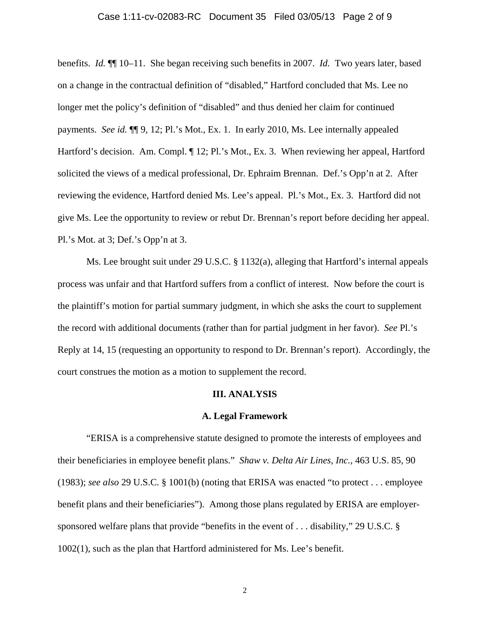### Case 1:11-cv-02083-RC Document 35 Filed 03/05/13 Page 2 of 9

benefits. *Id.* ¶¶ 10–11. She began receiving such benefits in 2007. *Id.* Two years later, based on a change in the contractual definition of "disabled," Hartford concluded that Ms. Lee no longer met the policy's definition of "disabled" and thus denied her claim for continued payments. *See id.* ¶¶ 9, 12; Pl.'s Mot., Ex. 1. In early 2010, Ms. Lee internally appealed Hartford's decision. Am. Compl. ¶ 12; Pl.'s Mot., Ex. 3. When reviewing her appeal, Hartford solicited the views of a medical professional, Dr. Ephraim Brennan. Def.'s Opp'n at 2. After reviewing the evidence, Hartford denied Ms. Lee's appeal. Pl.'s Mot., Ex. 3. Hartford did not give Ms. Lee the opportunity to review or rebut Dr. Brennan's report before deciding her appeal. Pl.'s Mot. at 3; Def.'s Opp'n at 3.

Ms. Lee brought suit under 29 U.S.C. § 1132(a), alleging that Hartford's internal appeals process was unfair and that Hartford suffers from a conflict of interest. Now before the court is the plaintiff's motion for partial summary judgment, in which she asks the court to supplement the record with additional documents (rather than for partial judgment in her favor). *See* Pl.'s Reply at 14, 15 (requesting an opportunity to respond to Dr. Brennan's report). Accordingly, the court construes the motion as a motion to supplement the record.

#### **III. ANALYSIS**

#### **A. Legal Framework**

"ERISA is a comprehensive statute designed to promote the interests of employees and their beneficiaries in employee benefit plans." *Shaw v. Delta Air Lines, Inc.*, 463 U.S. 85, 90 (1983); *see also* 29 U.S.C. § 1001(b) (noting that ERISA was enacted "to protect . . . employee benefit plans and their beneficiaries"). Among those plans regulated by ERISA are employersponsored welfare plans that provide "benefits in the event of . . . disability," 29 U.S.C. § 1002(1), such as the plan that Hartford administered for Ms. Lee's benefit.

2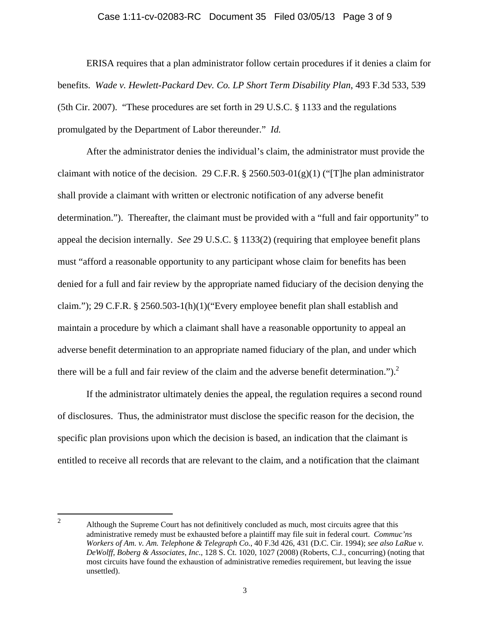### Case 1:11-cv-02083-RC Document 35 Filed 03/05/13 Page 3 of 9

ERISA requires that a plan administrator follow certain procedures if it denies a claim for benefits. *Wade v. Hewlett-Packard Dev. Co. LP Short Term Disability Plan*, 493 F.3d 533, 539 (5th Cir. 2007). "These procedures are set forth in 29 U.S.C. § 1133 and the regulations promulgated by the Department of Labor thereunder." *Id.*

After the administrator denies the individual's claim, the administrator must provide the claimant with notice of the decision. 29 C.F.R. § 2560.503-01(g)(1) ("[T]he plan administrator shall provide a claimant with written or electronic notification of any adverse benefit determination."). Thereafter, the claimant must be provided with a "full and fair opportunity" to appeal the decision internally. *See* 29 U.S.C. § 1133(2) (requiring that employee benefit plans must "afford a reasonable opportunity to any participant whose claim for benefits has been denied for a full and fair review by the appropriate named fiduciary of the decision denying the claim."); 29 C.F.R. § 2560.503-1(h)(1)("Every employee benefit plan shall establish and maintain a procedure by which a claimant shall have a reasonable opportunity to appeal an adverse benefit determination to an appropriate named fiduciary of the plan, and under which there will be a full and fair review of the claim and the adverse benefit determination.").<sup>2</sup>

If the administrator ultimately denies the appeal, the regulation requires a second round of disclosures. Thus, the administrator must disclose the specific reason for the decision, the specific plan provisions upon which the decision is based, an indication that the claimant is entitled to receive all records that are relevant to the claim, and a notification that the claimant

 $\frac{1}{2}$ 

Although the Supreme Court has not definitively concluded as much, most circuits agree that this administrative remedy must be exhausted before a plaintiff may file suit in federal court. *Commuc'ns Workers of Am. v. Am. Telephone & Telegraph Co.*, 40 F.3d 426, 431 (D.C. Cir. 1994); *see also LaRue v. DeWolff, Boberg & Associates, Inc.*, 128 S. Ct. 1020, 1027 (2008) (Roberts, C.J., concurring) (noting that most circuits have found the exhaustion of administrative remedies requirement, but leaving the issue unsettled).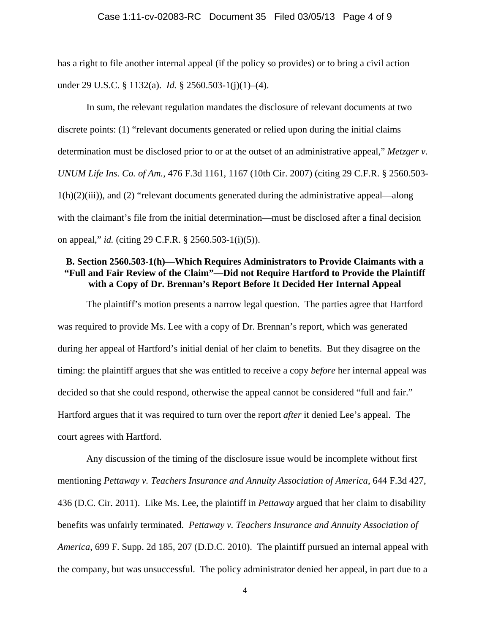### Case 1:11-cv-02083-RC Document 35 Filed 03/05/13 Page 4 of 9

has a right to file another internal appeal (if the policy so provides) or to bring a civil action under 29 U.S.C. § 1132(a). *Id.* § 2560.503-1(j)(1)–(4).

In sum, the relevant regulation mandates the disclosure of relevant documents at two discrete points: (1) "relevant documents generated or relied upon during the initial claims determination must be disclosed prior to or at the outset of an administrative appeal," *Metzger v. UNUM Life Ins. Co. of Am.*, 476 F.3d 1161, 1167 (10th Cir. 2007) (citing 29 C.F.R. § 2560.503-  $1(h)(2)(iii)$ , and (2) "relevant documents generated during the administrative appeal—along with the claimant's file from the initial determination—must be disclosed after a final decision on appeal," *id.* (citing 29 C.F.R. § 2560.503-1(i)(5)).

## **B. Section 2560.503-1(h)—Which Requires Administrators to Provide Claimants with a "Full and Fair Review of the Claim"—Did not Require Hartford to Provide the Plaintiff with a Copy of Dr. Brennan's Report Before It Decided Her Internal Appeal**

The plaintiff's motion presents a narrow legal question. The parties agree that Hartford was required to provide Ms. Lee with a copy of Dr. Brennan's report, which was generated during her appeal of Hartford's initial denial of her claim to benefits. But they disagree on the timing: the plaintiff argues that she was entitled to receive a copy *before* her internal appeal was decided so that she could respond, otherwise the appeal cannot be considered "full and fair." Hartford argues that it was required to turn over the report *after* it denied Lee's appeal. The court agrees with Hartford.

Any discussion of the timing of the disclosure issue would be incomplete without first mentioning *Pettaway v. Teachers Insurance and Annuity Association of America*, 644 F.3d 427, 436 (D.C. Cir. 2011). Like Ms. Lee, the plaintiff in *Pettaway* argued that her claim to disability benefits was unfairly terminated. *Pettaway v. Teachers Insurance and Annuity Association of America*, 699 F. Supp. 2d 185, 207 (D.D.C. 2010). The plaintiff pursued an internal appeal with the company, but was unsuccessful. The policy administrator denied her appeal, in part due to a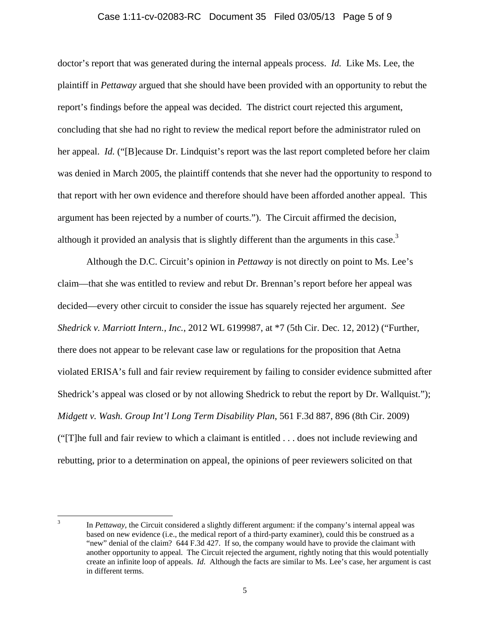### Case 1:11-cv-02083-RC Document 35 Filed 03/05/13 Page 5 of 9

doctor's report that was generated during the internal appeals process. *Id.* Like Ms. Lee, the plaintiff in *Pettaway* argued that she should have been provided with an opportunity to rebut the report's findings before the appeal was decided. The district court rejected this argument, concluding that she had no right to review the medical report before the administrator ruled on her appeal. *Id.* ("[B]ecause Dr. Lindquist's report was the last report completed before her claim was denied in March 2005, the plaintiff contends that she never had the opportunity to respond to that report with her own evidence and therefore should have been afforded another appeal. This argument has been rejected by a number of courts."). The Circuit affirmed the decision, although it provided an analysis that is slightly different than the arguments in this case.<sup>3</sup>

Although the D.C. Circuit's opinion in *Pettaway* is not directly on point to Ms. Lee's claim—that she was entitled to review and rebut Dr. Brennan's report before her appeal was decided—every other circuit to consider the issue has squarely rejected her argument. *See Shedrick v. Marriott Intern., Inc.*, 2012 WL 6199987, at \*7 (5th Cir. Dec. 12, 2012) ("Further, there does not appear to be relevant case law or regulations for the proposition that Aetna violated ERISA's full and fair review requirement by failing to consider evidence submitted after Shedrick's appeal was closed or by not allowing Shedrick to rebut the report by Dr. Wallquist."); *Midgett v. Wash. Group Int'l Long Term Disability Plan*, 561 F.3d 887, 896 (8th Cir. 2009) ("[T]he full and fair review to which a claimant is entitled . . . does not include reviewing and rebutting, prior to a determination on appeal, the opinions of peer reviewers solicited on that

 $\frac{1}{3}$ 

In *Pettaway*, the Circuit considered a slightly different argument: if the company's internal appeal was based on new evidence (i.e., the medical report of a third-party examiner), could this be construed as a "new" denial of the claim? 644 F.3d 427. If so, the company would have to provide the claimant with another opportunity to appeal. The Circuit rejected the argument, rightly noting that this would potentially create an infinite loop of appeals. *Id.* Although the facts are similar to Ms. Lee's case, her argument is cast in different terms.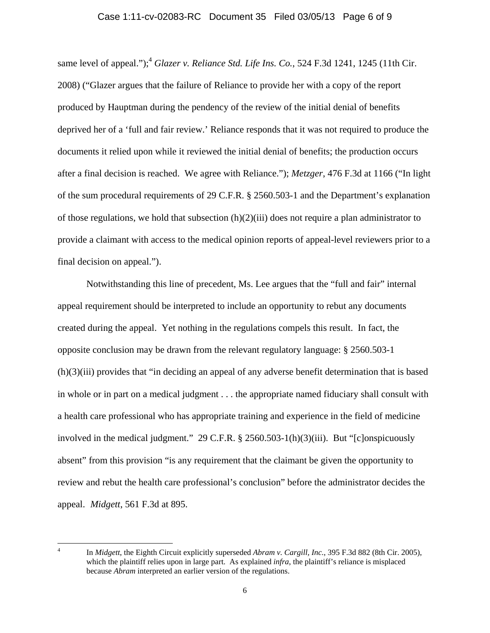### Case 1:11-cv-02083-RC Document 35 Filed 03/05/13 Page 6 of 9

same level of appeal.");<sup>4</sup> *Glazer v. Reliance Std. Life Ins. Co.*, 524 F.3d 1241, 1245 (11th Cir. 2008) ("Glazer argues that the failure of Reliance to provide her with a copy of the report produced by Hauptman during the pendency of the review of the initial denial of benefits deprived her of a 'full and fair review.' Reliance responds that it was not required to produce the documents it relied upon while it reviewed the initial denial of benefits; the production occurs after a final decision is reached. We agree with Reliance."); *Metzger*, 476 F.3d at 1166 ("In light of the sum procedural requirements of 29 C.F.R. § 2560.503-1 and the Department's explanation of those regulations, we hold that subsection (h)(2)(iii) does not require a plan administrator to provide a claimant with access to the medical opinion reports of appeal-level reviewers prior to a final decision on appeal.").

Notwithstanding this line of precedent, Ms. Lee argues that the "full and fair" internal appeal requirement should be interpreted to include an opportunity to rebut any documents created during the appeal. Yet nothing in the regulations compels this result. In fact, the opposite conclusion may be drawn from the relevant regulatory language: § 2560.503-1 (h)(3)(iii) provides that "in deciding an appeal of any adverse benefit determination that is based in whole or in part on a medical judgment . . . the appropriate named fiduciary shall consult with a health care professional who has appropriate training and experience in the field of medicine involved in the medical judgment." 29 C.F.R. § 2560.503-1(h)(3)(iii). But "[c]onspicuously absent" from this provision "is any requirement that the claimant be given the opportunity to review and rebut the health care professional's conclusion" before the administrator decides the appeal. *Midgett*, 561 F.3d at 895.

 $\frac{1}{4}$ 

In *Midgett*, the Eighth Circuit explicitly superseded *Abram v. Cargill, Inc.*, 395 F.3d 882 (8th Cir. 2005), which the plaintiff relies upon in large part. As explained *infra*, the plaintiff's reliance is misplaced because *Abram* interpreted an earlier version of the regulations.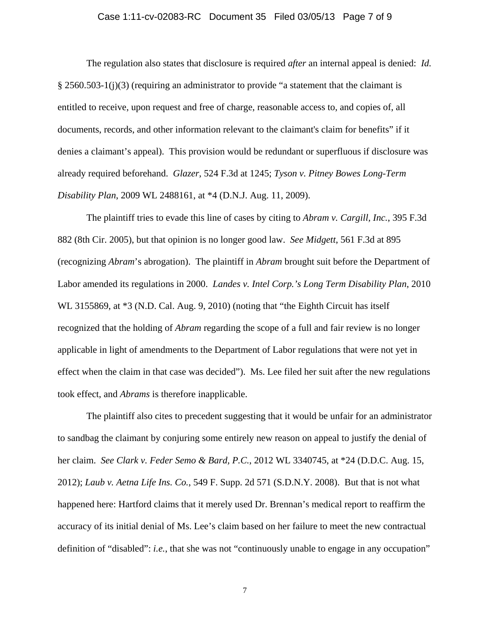### Case 1:11-cv-02083-RC Document 35 Filed 03/05/13 Page 7 of 9

The regulation also states that disclosure is required *after* an internal appeal is denied: *Id.*  $\S 2560.503-1(j)(3)$  (requiring an administrator to provide "a statement that the claimant is entitled to receive, upon request and free of charge, reasonable access to, and copies of, all documents, records, and other information relevant to the claimant's claim for benefits" if it denies a claimant's appeal). This provision would be redundant or superfluous if disclosure was already required beforehand. *Glazer*, 524 F.3d at 1245; *Tyson v. Pitney Bowes Long-Term Disability Plan*, 2009 WL 2488161, at \*4 (D.N.J. Aug. 11, 2009).

The plaintiff tries to evade this line of cases by citing to *Abram v. Cargill, Inc.*, 395 F.3d 882 (8th Cir. 2005), but that opinion is no longer good law. *See Midgett*, 561 F.3d at 895 (recognizing *Abram*'s abrogation). The plaintiff in *Abram* brought suit before the Department of Labor amended its regulations in 2000. *Landes v. Intel Corp.'s Long Term Disability Plan*, 2010 WL 3155869, at \*3 (N.D. Cal. Aug. 9, 2010) (noting that "the Eighth Circuit has itself recognized that the holding of *Abram* regarding the scope of a full and fair review is no longer applicable in light of amendments to the Department of Labor regulations that were not yet in effect when the claim in that case was decided"). Ms. Lee filed her suit after the new regulations took effect, and *Abrams* is therefore inapplicable.

The plaintiff also cites to precedent suggesting that it would be unfair for an administrator to sandbag the claimant by conjuring some entirely new reason on appeal to justify the denial of her claim. *See Clark v. Feder Semo & Bard, P.C.*, 2012 WL 3340745, at \*24 (D.D.C. Aug. 15, 2012); *Laub v. Aetna Life Ins. Co.*, 549 F. Supp. 2d 571 (S.D.N.Y. 2008). But that is not what happened here: Hartford claims that it merely used Dr. Brennan's medical report to reaffirm the accuracy of its initial denial of Ms. Lee's claim based on her failure to meet the new contractual definition of "disabled": *i.e.*, that she was not "continuously unable to engage in any occupation"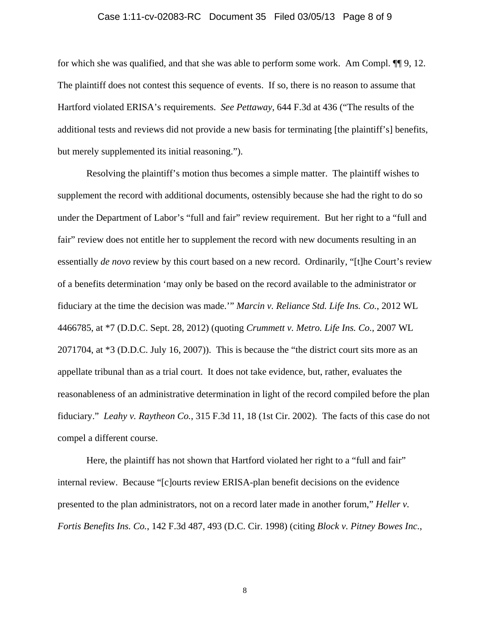### Case 1:11-cv-02083-RC Document 35 Filed 03/05/13 Page 8 of 9

for which she was qualified, and that she was able to perform some work. Am Compl. ¶¶ 9, 12. The plaintiff does not contest this sequence of events. If so, there is no reason to assume that Hartford violated ERISA's requirements. *See Pettaway*, 644 F.3d at 436 ("The results of the additional tests and reviews did not provide a new basis for terminating [the plaintiff's] benefits, but merely supplemented its initial reasoning.").

Resolving the plaintiff's motion thus becomes a simple matter. The plaintiff wishes to supplement the record with additional documents, ostensibly because she had the right to do so under the Department of Labor's "full and fair" review requirement. But her right to a "full and fair" review does not entitle her to supplement the record with new documents resulting in an essentially *de novo* review by this court based on a new record. Ordinarily, "[t]he Court's review of a benefits determination 'may only be based on the record available to the administrator or fiduciary at the time the decision was made.'" *Marcin v. Reliance Std. Life Ins. Co.*, 2012 WL 4466785, at \*7 (D.D.C. Sept. 28, 2012) (quoting *Crummett v. Metro. Life Ins. Co.*, 2007 WL 2071704, at \*3 (D.D.C. July 16, 2007)). This is because the "the district court sits more as an appellate tribunal than as a trial court. It does not take evidence, but, rather, evaluates the reasonableness of an administrative determination in light of the record compiled before the plan fiduciary." *Leahy v. Raytheon Co.*, 315 F.3d 11, 18 (1st Cir. 2002). The facts of this case do not compel a different course.

Here, the plaintiff has not shown that Hartford violated her right to a "full and fair" internal review. Because "[c]ourts review ERISA-plan benefit decisions on the evidence presented to the plan administrators, not on a record later made in another forum," *Heller v. Fortis Benefits Ins. Co.*, 142 F.3d 487, 493 (D.C. Cir. 1998) (citing *Block v. Pitney Bowes Inc.*,

8